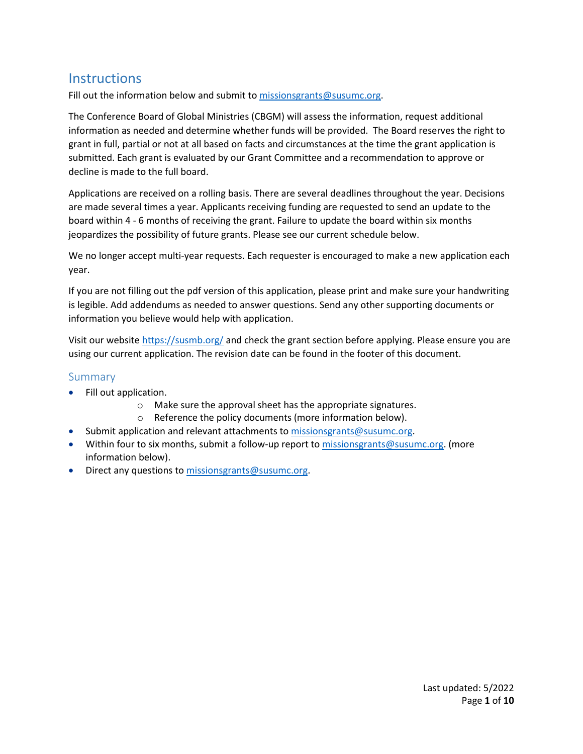# **Instructions**

Fill out the information below and submit t[o missionsgrants@susumc.org.](mailto:missionsgrants@susumc.org)

The Conference Board of Global Ministries (CBGM) will assess the information, request additional information as needed and determine whether funds will be provided. The Board reserves the right to grant in full, partial or not at all based on facts and circumstances at the time the grant application is submitted. Each grant is evaluated by our Grant Committee and a recommendation to approve or decline is made to the full board.

Applications are received on a rolling basis. There are several deadlines throughout the year. Decisions are made several times a year. Applicants receiving funding are requested to send an update to the board within 4 - 6 months of receiving the grant. Failure to update the board within six months jeopardizes the possibility of future grants. Please see our current schedule below.

We no longer accept multi-year requests. Each requester is encouraged to make a new application each year.

If you are not filling out the pdf version of this application, please print and make sure your handwriting is legible. Add addendums as needed to answer questions. Send any other supporting documents or information you believe would help with application.

Visit our website<https://susmb.org/> and check the grant section before applying. Please ensure you are using our current application. The revision date can be found in the footer of this document.

## Summary

- Fill out application.
	- o Make sure the approval sheet has the appropriate signatures.
	- o Reference the policy documents (more information below).
- Submit application and relevant attachments to [missionsgrants@susumc.org.](mailto:missionsgrants@susumc.org)
- Within four to six months, submit a follow-up report t[o missionsgrants@susumc.org.](mailto:missionsgrants@susumc.org) (more information below).
- Direct any questions to [missionsgrants@susumc.org.](mailto:missionsgrants@susumc.org)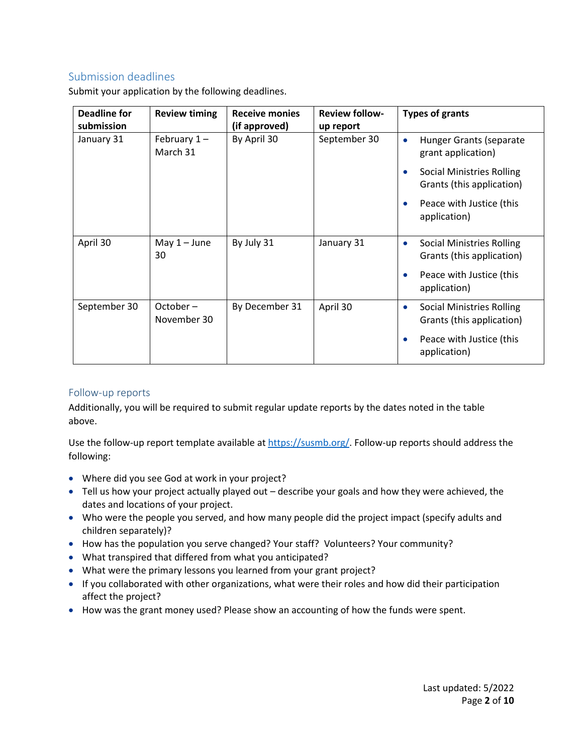# Submission deadlines

| Deadline for<br>submission | <b>Review timing</b>      | <b>Receive monies</b><br>(if approved) | <b>Review follow-</b><br>up report | <b>Types of grants</b>                                                     |
|----------------------------|---------------------------|----------------------------------------|------------------------------------|----------------------------------------------------------------------------|
| January 31                 | February $1-$<br>March 31 | By April 30                            | September 30                       | Hunger Grants (separate<br>grant application)                              |
|                            |                           |                                        |                                    | <b>Social Ministries Rolling</b><br>Grants (this application)              |
|                            |                           |                                        |                                    | Peace with Justice (this<br>application)                                   |
| April 30                   | May $1 -$ June<br>30      | By July 31                             | January 31                         | <b>Social Ministries Rolling</b><br>Grants (this application)              |
|                            |                           |                                        |                                    | Peace with Justice (this<br>application)                                   |
| September 30               | October-<br>November 30   | By December 31                         | April 30                           | <b>Social Ministries Rolling</b><br>$\bullet$<br>Grants (this application) |
|                            |                           |                                        |                                    | Peace with Justice (this<br>application)                                   |

Submit your application by the following deadlines.

# Follow-up reports

Additionally, you will be required to submit regular update reports by the dates noted in the table above.

Use the follow-up report template available at [https://susmb.org/.](https://susmb.org/) Follow-up reports should address the following:

- Where did you see God at work in your project?
- Tell us how your project actually played out describe your goals and how they were achieved, the dates and locations of your project.
- Who were the people you served, and how many people did the project impact (specify adults and children separately)?
- How has the population you serve changed? Your staff? Volunteers? Your community?
- What transpired that differed from what you anticipated?
- What were the primary lessons you learned from your grant project?
- If you collaborated with other organizations, what were their roles and how did their participation affect the project?
- How was the grant money used? Please show an accounting of how the funds were spent.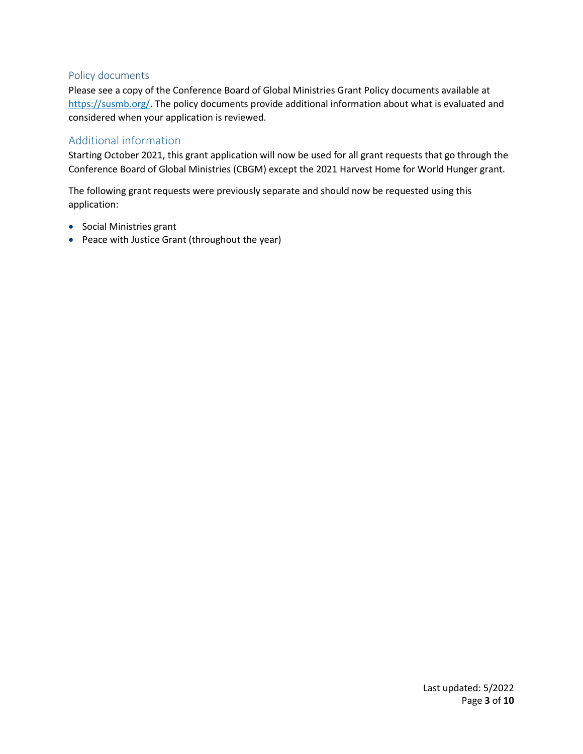### Policy documents

Please see a copy of the Conference Board of Global Ministries Grant Policy documents available at [https://susmb.org/.](https://susmb.org/) The policy documents provide additional information about what is evaluated and considered when your application is reviewed.

# Additional information

Starting October 2021, this grant application will now be used for all grant requests that go through the Conference Board of Global Ministries (CBGM) except the 2021 Harvest Home for World Hunger grant.

The following grant requests were previously separate and should now be requested using this application:

- Social Ministries grant
- Peace with Justice Grant (throughout the year)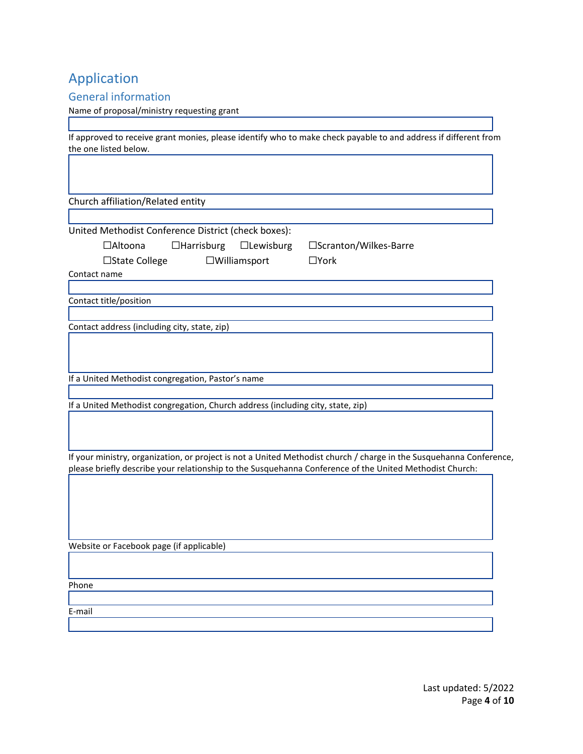# Application

## General information

#### Name of proposal/ministry requesting grant

If approved to receive grant monies, please identify who to make check payable to and address if different from the one listed below.

Church affiliation/Related entity

United Methodist Conference District (check boxes):

☐Altoona ☐Harrisburg ☐Lewisburg ☐Scranton/Wilkes-Barre

| $\Box$ State College | $\Box$ Williamsport | $\Box$ York |
|----------------------|---------------------|-------------|
|                      |                     |             |

Contact name

Contact title/position

Contact address (including city, state, zip)

If a United Methodist congregation, Pastor's name

If a United Methodist congregation, Church address (including city, state, zip)

If your ministry, organization, or project is not a United Methodist church / charge in the Susquehanna Conference, please briefly describe your relationship to the Susquehanna Conference of the United Methodist Church:

Website or Facebook page (if applicable)

Phone

E-mail

Last updated: 5/2022 Page **4** of **10**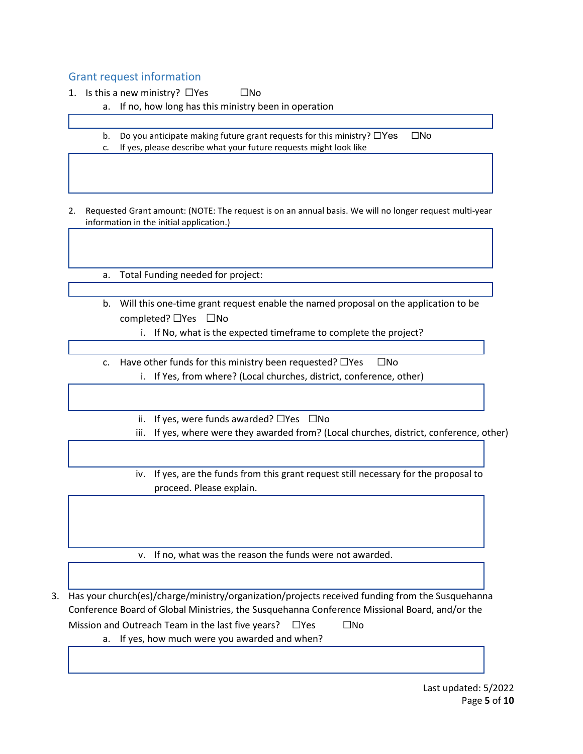# Grant request information

1. Is this a new ministry?  $\square$ Yes  $\square$ No

a. If no, how long has this ministry been in operation

b. Do you anticipate making future grant requests for this ministry? □Yes □No c. If yes, please describe what your future requests might look like

2. Requested Grant amount: (NOTE: The request is on an annual basis. We will no longer request multi-year information in the initial application.)

a. Total Funding needed for project:

- b. Will this one-time grant request enable the named proposal on the application to be completed? ☐Yes ☐No
	- i. If No, what is the expected timeframe to complete the project?
- c. Have other funds for this ministry been requested?  $\Box$ Yes  $\Box$ No i. If Yes, from where? (Local churches, district, conference, other)
	- ii. If yes, were funds awarded?  $\square$ Yes  $\square$ No
	- iii. If yes, where were they awarded from? (Local churches, district, conference, other)
	- iv. If yes, are the funds from this grant request still necessary for the proposal to proceed. Please explain.

v. If no, what was the reason the funds were not awarded.

3. Has your church(es)/charge/ministry/organization/projects received funding from the Susquehanna Conference Board of Global Ministries, the Susquehanna Conference Missional Board, and/or the Mission and Outreach Team in the last five years?  $□Yes$   $□No$ 

a. If yes, how much were you awarded and when?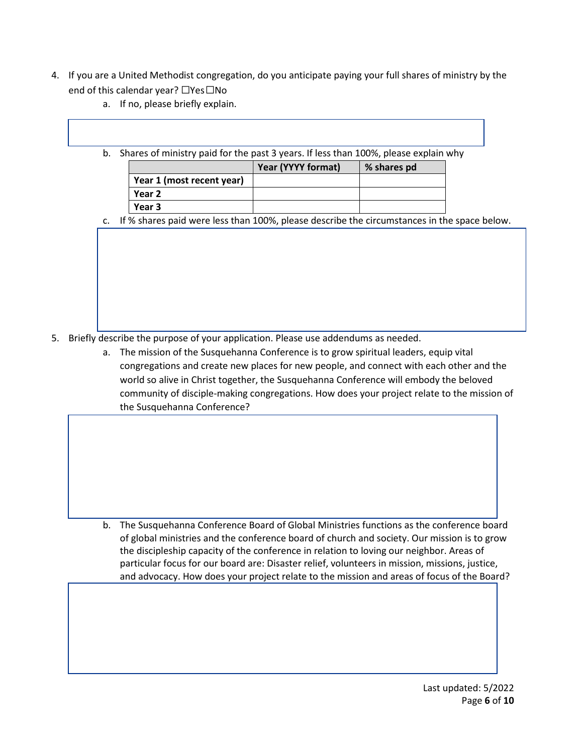- 4. If you are a United Methodist congregation, do you anticipate paying your full shares of ministry by the end of this calendar year? □Yes□No
	- a. If no, please briefly explain.
	- b. Shares of ministry paid for the past 3 years. If less than 100%, please explain why

|                           | Year (YYYY format) | % shares pd |
|---------------------------|--------------------|-------------|
| Year 1 (most recent year) |                    |             |
| Year 2                    |                    |             |
| Year 3                    |                    |             |

c. If % shares paid were less than 100%, please describe the circumstances in the space below.

- 5. Briefly describe the purpose of your application. Please use addendums as needed.
	- a. The mission of the Susquehanna Conference is to grow spiritual leaders, equip vital congregations and create new places for new people, and connect with each other and the world so alive in Christ together, the Susquehanna Conference will embody the beloved community of disciple-making congregations. How does your project relate to the mission of the Susquehanna Conference?

b. The Susquehanna Conference Board of Global Ministries functions as the conference board of global ministries and the conference board of church and society. Our mission is to grow the discipleship capacity of the conference in relation to loving our neighbor. Areas of particular focus for our board are: Disaster relief, volunteers in mission, missions, justice, and advocacy. How does your project relate to the mission and areas of focus of the Board?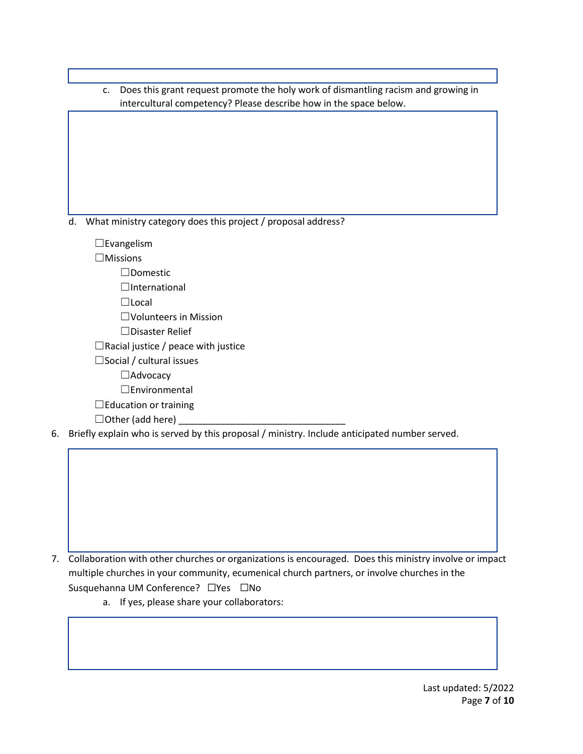c. Does this grant request promote the holy work of dismantling racism and growing in intercultural competency? Please describe how in the space below.

d. What ministry category does this project / proposal address?

☐Evangelism

☐Missions

☐Domestic

☐International

☐Local

☐Volunteers in Mission

☐Disaster Relief

 $\Box$ Racial justice / peace with justice

□Social / cultural issues

☐Advocacy

☐Environmental

□Education or training

 $\Box$  Other (add here)

6. Briefly explain who is served by this proposal / ministry. Include anticipated number served.

7. Collaboration with other churches or organizations is encouraged. Does this ministry involve or impact multiple churches in your community, ecumenical church partners, or involve churches in the Susquehanna UM Conference? □Yes □No

a. If yes, please share your collaborators: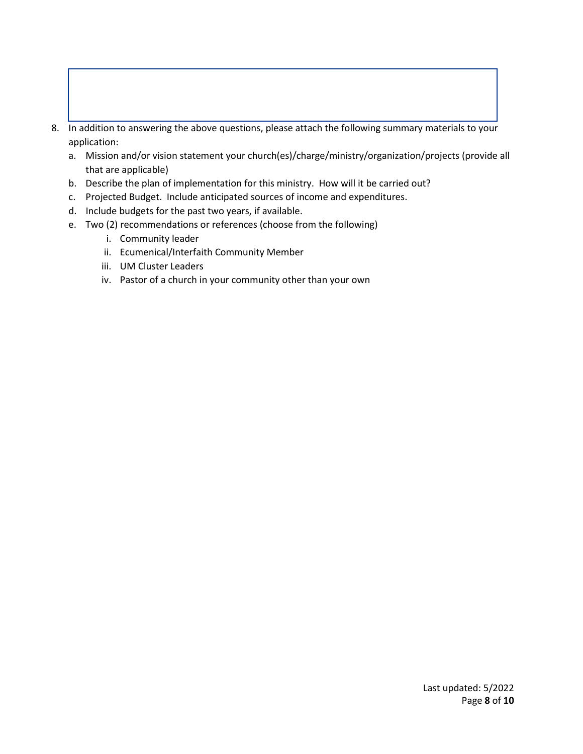8. In addition to answering the above questions, please attach the following summary materials to your application:

- a. Mission and/or vision statement your church(es)/charge/ministry/organization/projects (provide all that are applicable)
- b. Describe the plan of implementation for this ministry. How will it be carried out?
- c. Projected Budget. Include anticipated sources of income and expenditures.
- d. Include budgets for the past two years, if available.
- e. Two (2) recommendations or references (choose from the following)
	- i. Community leader
	- ii. Ecumenical/Interfaith Community Member
	- iii. UM Cluster Leaders
	- iv. Pastor of a church in your community other than your own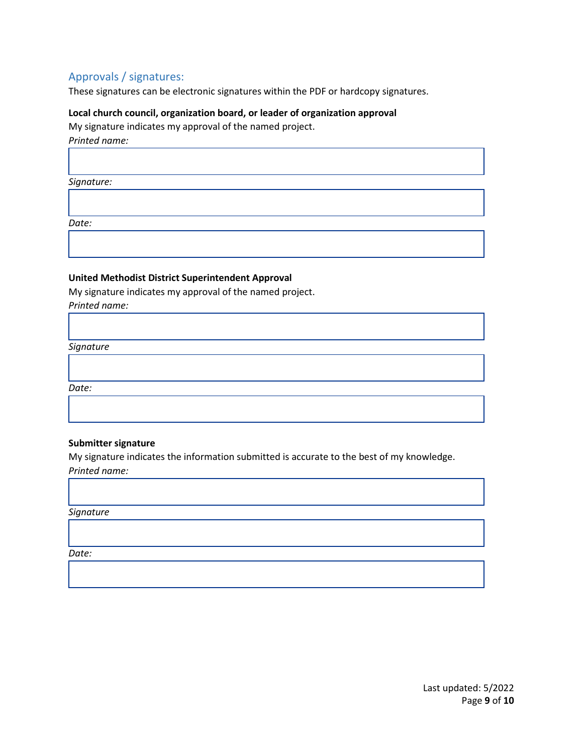# Approvals / signatures:

These signatures can be electronic signatures within the PDF or hardcopy signatures.

#### **Local church council, organization board, or leader of organization approval**

My signature indicates my approval of the named project. *Printed name:* 

*Signature:*

*Date:*

### **United Methodist District Superintendent Approval**

My signature indicates my approval of the named project.

*Printed name:* 

*Signature*

*Date:*

#### **Submitter signature**

My signature indicates the information submitted is accurate to the best of my knowledge. *Printed name:* 

*Signature*

*Date:*